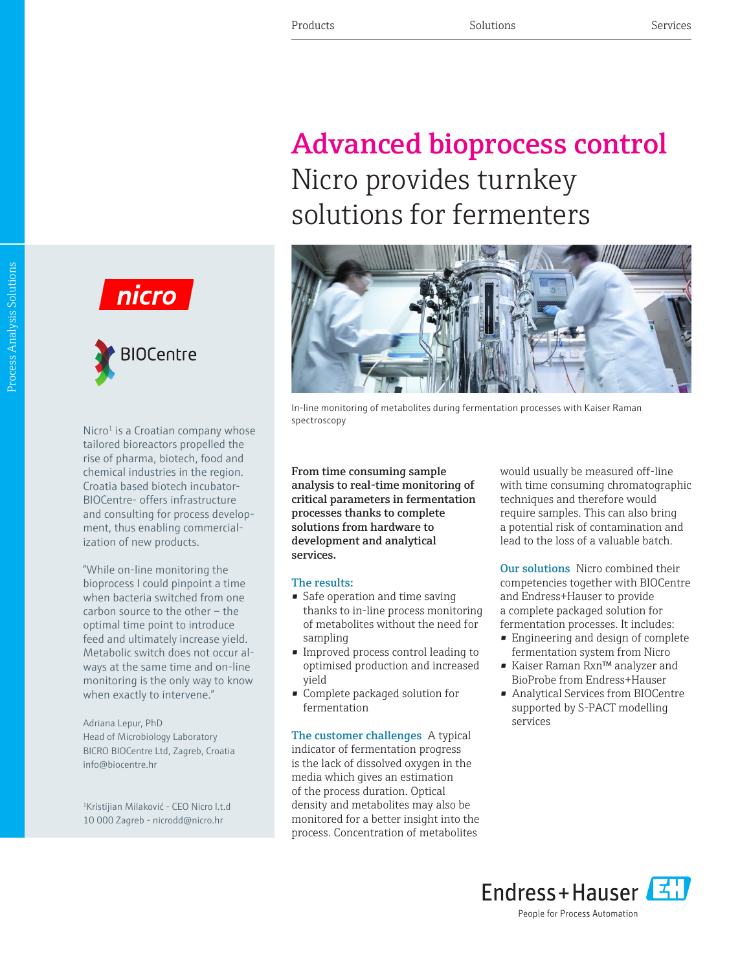## Advanced bioprocess control Nicro provides turnkey solutions for fermenters



In-line monitoring of metabolites during fermentation processes with Kaiser Raman spectroscopy

From time consuming sample analysis to real-time monitoring of critical parameters in fermentation processes thanks to complete solutions from hardware to development and analytical services.

## The results:

- Safe operation and time saving thanks to in-line process monitoring of metabolites without the need for sampling
- Improved process control leading to optimised production and increased yield
- Complete packaged solution for fermentation

The customer challenges A typical indicator of fermentation progress is the lack of dissolved oxygen in the media which gives an estimation of the process duration. Optical density and metabolites may also be monitored for a better insight into the process. Concentration of metabolites

would usually be measured off-line with time consuming chromatographic techniques and therefore would require samples. This can also bring a potential risk of contamination and lead to the loss of a valuable batch.

Our solutions Nicro combined their competencies together with BIOCentre and Endress+Hauser to provide a complete packaged solution for fermentation processes. It includes:

- Engineering and design of complete fermentation system from Nicro
- Kaiser Raman Rxn™ analyzer and BioProbe from Endress+Hauser
- Analytical Services from BIOCentre supported by S-PACT modelling services







Nicro $1$  is a Croatian company whose tailored bioreactors propelled the rise of pharma, biotech, food and chemical industries in the region. Croatia based biotech incubator-BIOCentre- offers infrastructure and consulting for process development, thus enabling commercialization of new products.

"While on-line monitoring the bioprocess I could pinpoint a time when bacteria switched from one carbon source to the other – the optimal time point to introduce feed and ultimately increase yield. Metabolic switch does not occur always at the same time and on-line monitoring is the only way to know when exactly to intervene."

Adriana Lepur, PhD Head of Microbiology Laboratory BICRO BIOCentre Ltd, Zagreb, Croatia info@biocentre.hr

<sup>1</sup>Kristijian Milaković - CEO Nicro l.t.d 10 000 Zagreb - nicrodd@nicro.hr